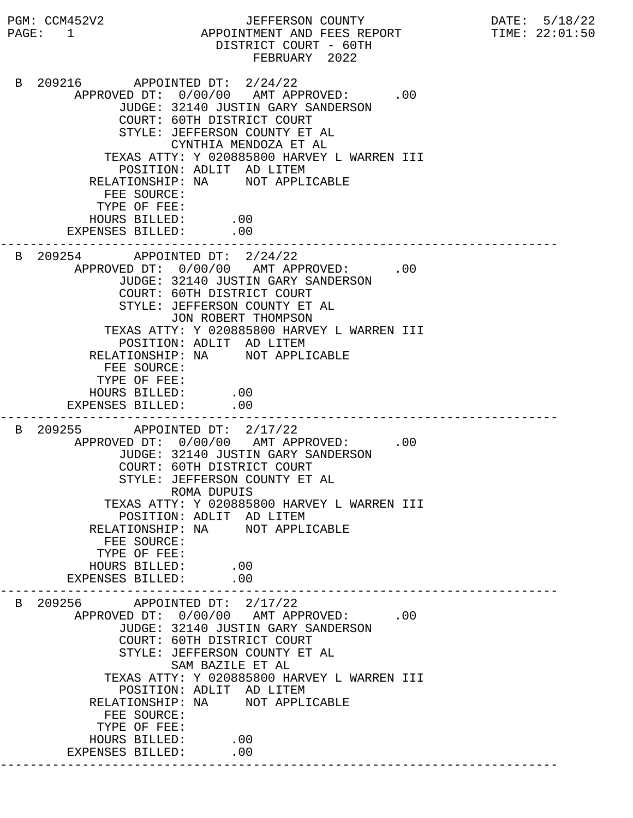PGM: CCM452V2 JEFFERSON COUNTY DATE: 5/18/22 PAGE: 1 APPOINTMENT AND FEES REPORT DISTRICT COURT - 60TH FEBRUARY 2022 B 209216 APPOINTED DT: 2/24/22 APPROVED DT:  $0/00/00$  AMT APPROVED: .00 JUDGE: 32140 JUSTIN GARY SANDERSON COURT: 60TH DISTRICT COURT STYLE: JEFFERSON COUNTY ET AL CYNTHIA MENDOZA ET AL TEXAS ATTY: Y 020885800 HARVEY L WARREN III POSITION: ADLIT AD LITEM RELATIONSHIP: NA NOT APPLICABLE FEE SOURCE: TYPE OF FEE: HOURS BILLED: .00 EXPENSES BILLED: .00 --------------------------------------------------------------------------- B 209254 APPOINTED DT: 2/24/22 APPROVED DT:  $0/00/00$  AMT APPROVED: .00 JUDGE: 32140 JUSTIN GARY SANDERSON COURT: 60TH DISTRICT COURT STYLE: JEFFERSON COUNTY ET AL JON ROBERT THOMPSON TEXAS ATTY: Y 020885800 HARVEY L WARREN III POSITION: ADLIT AD LITEM RELATIONSHIP: NA NOT APPLICABLE FEE SOURCE: TYPE OF FEE: HOURS BILLED: .00 EXPENSES BILLED: .00 --------------------------------------------------------------------------- B 209255 APPOINTED DT: 2/17/22 APPROVED DT:  $0/00/00$  AMT APPROVED: .00 JUDGE: 32140 JUSTIN GARY SANDERSON COURT: 60TH DISTRICT COURT STYLE: JEFFERSON COUNTY ET AL ROMA DUPUIS TEXAS ATTY: Y 020885800 HARVEY L WARREN III POSITION: ADLIT AD LITEM RELATIONSHIP: NA NOT APPLICABLE FEE SOURCE: TYPE OF FEE: HOURS BILLED: .00<br>ENSES BILLED: .00 EXPENSES BILLED: --------------------------------------------------------------------------- B 209256 APPOINTED DT: 2/17/22 APPROVED DT:  $0/00/00$  AMT APPROVED: .00 JUDGE: 32140 JUSTIN GARY SANDERSON COURT: 60TH DISTRICT COURT STYLE: JEFFERSON COUNTY ET AL SAM BAZILE ET AL TEXAS ATTY: Y 020885800 HARVEY L WARREN III POSITION: ADLIT AD LITEM RELATIONSHIP: NA NOT APPLICABLE FEE SOURCE: TYPE OF FEE: HOURS BILLED: .00 EXPENSES BILLED: .00 ---------------------------------------------------------------------------